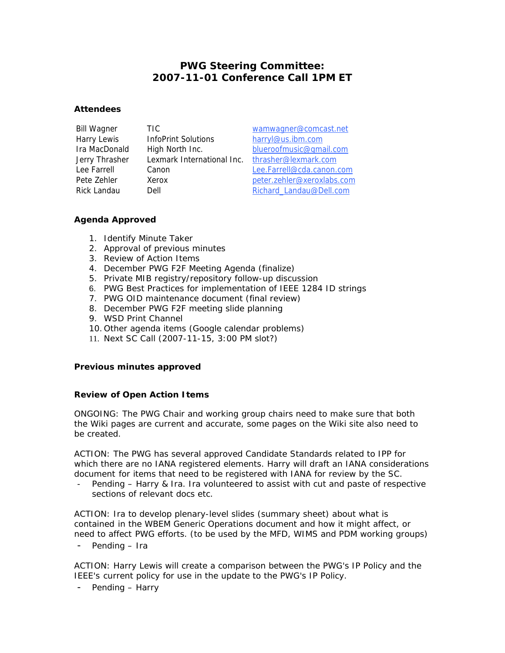# **PWG Steering Committee: 2007-11-01 Conference Call 1PM ET**

### **Attendees**

| <b>Bill Wagner</b> |
|--------------------|
| Harry Lewis        |
| Ira MacDonald      |
| Jerry Thrasher     |
| l ee Farrell       |
| Pete Zehler        |
| Rick Landau        |

InfoPrint Solutions harryl@us.ibm.com Lexmark International Inc. thrasher@lexmark.com

TIC wamwagner@comcast.net High North Inc. blueroofmusic@gmail.com Lee Farrell Canon Lee.Farrell@cda.canon.com Pete Zehler Xerox peter.zehler@xeroxlabs.com Rick Landau Dell Richard\_Landau@Dell.com

# **Agenda Approved**

- 1. Identify Minute Taker
- 2. Approval of previous minutes
- 3. Review of Action Items
- 4. December PWG F2F Meeting Agenda (finalize)
- 5. Private MIB registry/repository follow-up discussion
- 6. PWG Best Practices for implementation of IEEE 1284 ID strings
- 7. PWG OID maintenance document (final review)
- 8. December PWG F2F meeting slide planning
- 9. WSD Print Channel
- 10. Other agenda items (Google calendar problems)
- 11. Next SC Call (2007-11-15, 3:00 PM slot?)

# **Previous minutes approved**

# **Review of Open Action Items**

ONGOING: The PWG Chair and working group chairs need to make sure that both the Wiki pages are current and accurate, some pages on the Wiki site also need to be created.

ACTION: The PWG has several approved Candidate Standards related to IPP for which there are no IANA registered elements. Harry will draft an IANA considerations document for items that need to be registered with IANA for review by the SC.

- *Pending – Harry & Ira. Ira volunteered to assist with cut and paste of respective sections of relevant docs etc.* 

ACTION: Ira to develop plenary-level slides (summary sheet) about what is contained in the WBEM Generic Operations document and how it might affect, or need to affect PWG efforts. (to be used by the MFD, WIMS and PDM working groups)

- *Pending – Ira*

ACTION: Harry Lewis will create a comparison between the PWG's IP Policy and the IEEE's current policy for use in the update to the PWG's IP Policy.

- *Pending – Harry*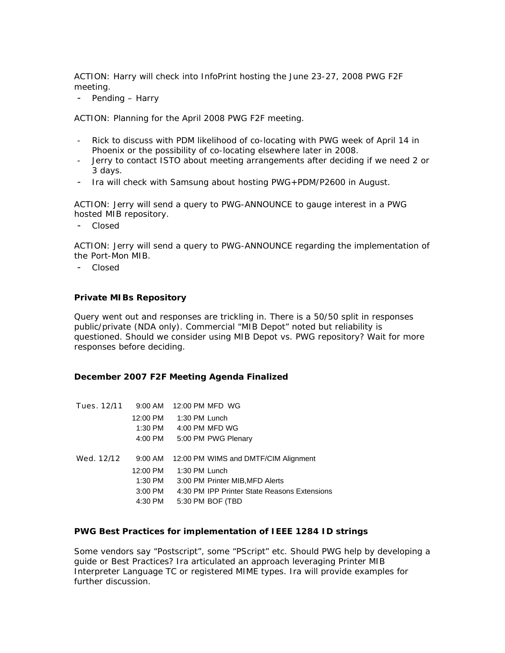ACTION: Harry will check into InfoPrint hosting the June 23-27, 2008 PWG F2F meeting.

- *Pending – Harry*

ACTION: Planning for the April 2008 PWG F2F meeting.

- *Rick to discuss with PDM likelihood of co-locating with PWG week of April 14 in Phoenix or the possibility of co-locating elsewhere later in 2008.*
- *Jerry to contact ISTO about meeting arrangements after deciding if we need 2 or 3 days.*
- *Ira will check with Samsung about hosting PWG+PDM/P2600 in August.*

ACTION: Jerry will send a query to PWG-ANNOUNCE to gauge interest in a PWG hosted MIB repository.

- *Closed*

ACTION: Jerry will send a query to PWG-ANNOUNCE regarding the implementation of the Port-Mon MIB.

- *Closed*

### **Private MIBs Repository**

Query went out and responses are trickling in. There is a 50/50 split in responses public/private (NDA only). Commercial "MIB Depot" noted but reliability is questioned. Should we consider using MIB Depot vs. PWG repository? Wait for more responses before deciding.

#### **December 2007 F2F Meeting Agenda Finalized**

| Tues. 12/11 | 9:00 AM   | 12:00 PM MFD WG                              |
|-------------|-----------|----------------------------------------------|
|             | 12:00 PM  | 1:30 PM Lunch                                |
|             | 1:30 PM   | 4:00 PM MFD WG                               |
|             | 4:00 PM   | 5:00 PM PWG Plenary                          |
|             |           |                                              |
| Wed. 12/12  | $9:00$ AM | 12:00 PM WIMS and DMTF/CIM Alignment         |
|             | 12:00 PM  | 1:30 PM Lunch                                |
|             | 1:30 PM   | 3:00 PM Printer MIB, MFD Alerts              |
|             | $3:00$ PM | 4:30 PM IPP Printer State Reasons Extensions |
|             | 4:30 PM   | 5:30 PM BOF (TBD                             |

#### **PWG Best Practices for implementation of IEEE 1284 ID strings**

Some vendors say "Postscript", some "PScript" etc. Should PWG help by developing a guide or Best Practices? Ira articulated an approach leveraging Printer MIB Interpreter Language TC or registered MIME types. Ira will provide examples for further discussion.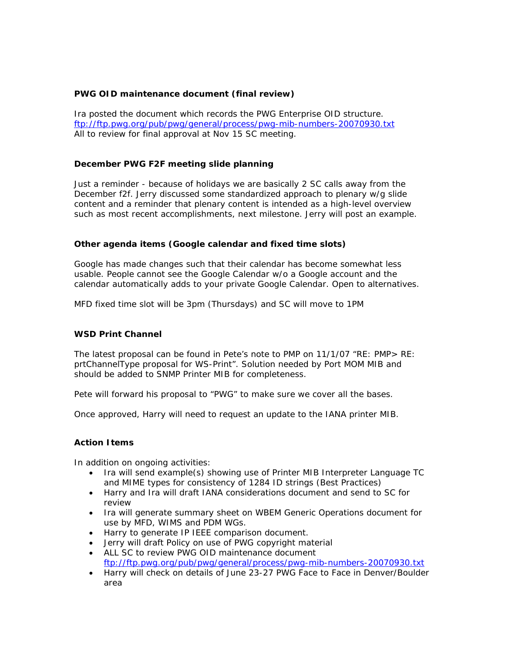# **PWG OID maintenance document (final review)**

Ira posted the document which records the PWG Enterprise OID structure. <ftp://ftp.pwg.org/pub/pwg/general/process/pwg-mib-numbers-20070930.txt> All to review for final approval at Nov 15 SC meeting.

# **December PWG F2F meeting slide planning**

Just a reminder - because of holidays we are basically 2 SC calls away from the December f2f. Jerry discussed some standardized approach to plenary w/g slide content and a reminder that plenary content is intended as a high-level overview such as most recent accomplishments, next milestone. Jerry will post an example.

### **Other agenda items (Google calendar and fixed time slots)**

Google has made changes such that their calendar has become somewhat less usable. People cannot see the Google Calendar w/o a Google account and the calendar automatically adds to your private Google Calendar. Open to alternatives.

MFD fixed time slot will be 3pm (Thursdays) and SC will move to 1PM

### **WSD Print Channel**

The latest proposal can be found in Pete's note to PMP on 11/1/07 "RE: PMP> RE: prtChannelType proposal for WS-Print". Solution needed by Port MOM MIB and should be added to SNMP Printer MIB for completeness.

Pete will forward his proposal to "PWG" to make sure we cover all the bases.

Once approved, Harry will need to request an update to the IANA printer MIB.

### **Action Items**

In addition on ongoing activities:

- *Ira will send example(s) showing use of Printer MIB Interpreter Language TC and MIME types for consistency of 1284 ID strings (Best Practices)*
- *Harry and Ira will draft IANA considerations document and send to SC for review*
- *Ira will generate summary sheet on WBEM Generic Operations document for use by MFD, WIMS and PDM WGs.*
- *Harry to generate IP IEEE comparison document.*
- *Jerry will draft Policy on use of PWG copyright material*
- *ALL SC to review PWG OID maintenance document*  <ftp://ftp.pwg.org/pub/pwg/general/process/pwg-mib-numbers-20070930.txt>
- *Harry will check on details of June 23-27 PWG Face to Face in Denver/Boulder area*